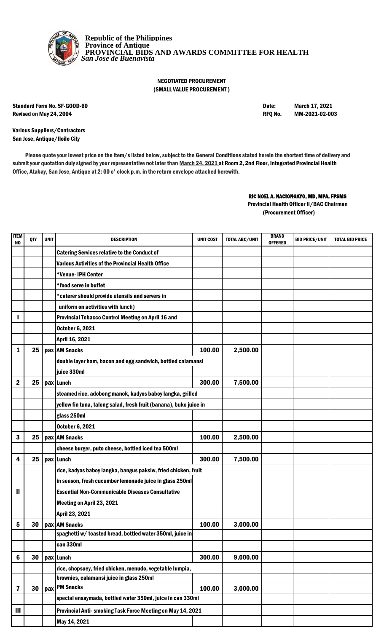

**Republic of the Philippines Province of Antique PROVINCIAL BIDS AND AWARDS COMMITTEE FOR HEALTH**  *San Jose de Buenavista*

## NEGOTIATED PROCUREMENT (SMALL VALUE PROCUREMENT )

Standard Form No. SF-GOOD-60 **Date:** March 17, 2021 Revised on May 24, 2004 **Revised on May 24, 2004** RFQ No. MM-2021-02-003

Various Suppliers/Contractors San Jose, Antique/Iloilo City

Please quote your lowest price on the item/s listed below, subject to the General Conditions stated herein the shortest time of delivery and submit your quotation duly signed by your representative not later than March 24, 2021 at Room 2, 2nd Floor, Integrated Provincial Health Office, Atabay, San Jose, Antique at 2: 00 o' clock p.m. in the return envelope attached herewith.

## RIC NOEL A. NACIONGAYO, MD, MPA, FPSMS

(Procurement Officer) Provincial Health Officer II/BAC Chairman

| <b>ITEM</b><br>NO | QTY | <b>UNIT</b> | <b>DESCRIPTION</b>                                                 | <b>UNIT COST</b> | <b>TOTAL ABC/UNIT</b> | <b>BRAND</b><br><b>OFFERED</b> | <b>BID PRICE/UNIT</b> | <b>TOTAL BID PRICE</b> |
|-------------------|-----|-------------|--------------------------------------------------------------------|------------------|-----------------------|--------------------------------|-----------------------|------------------------|
|                   |     |             | <b>Catering Services relative to the Conduct of</b>                |                  |                       |                                |                       |                        |
|                   |     |             | <b>Various Activities of the Provincial Health Office</b>          |                  |                       |                                |                       |                        |
|                   |     |             | *Venue-IPH Center                                                  |                  |                       |                                |                       |                        |
|                   |     |             | *food serve in buffet                                              |                  |                       |                                |                       |                        |
|                   |     |             | *caterer should provide utensils and servers in                    |                  |                       |                                |                       |                        |
|                   |     |             | uniform on activities with lunch)                                  |                  |                       |                                |                       |                        |
|                   |     |             | <b>Provincial Tobacco Control Meeting on April 16 and</b>          |                  |                       |                                |                       |                        |
|                   |     |             | <b>October 6, 2021</b>                                             |                  |                       |                                |                       |                        |
|                   |     |             | April 16, 2021                                                     |                  |                       |                                |                       |                        |
| 1                 | 25  |             | pax AM Snacks                                                      | 100.00           | 2,500.00              |                                |                       |                        |
|                   |     |             | double layer ham, bacon and egg sandwich, bottled calamansi        |                  |                       |                                |                       |                        |
|                   |     |             | juice 330ml                                                        |                  |                       |                                |                       |                        |
| $\mathbf 2$       | 25  |             | pax Lunch                                                          | 300.00           | 7,500.00              |                                |                       |                        |
|                   |     |             | steamed rice, adobong manok, kadyos baboy langka, grilled          |                  |                       |                                |                       |                        |
|                   |     |             | yellow fin tuna, talong salad, fresh fruit (banana), buko juice in |                  |                       |                                |                       |                        |
|                   |     |             | glass 250ml                                                        |                  |                       |                                |                       |                        |
|                   |     |             | <b>October 6, 2021</b>                                             |                  |                       |                                |                       |                        |
| 3                 | 25  |             | pax AM Snacks                                                      | 100.00           | 2,500.00              |                                |                       |                        |
|                   |     |             | cheese burger, puto cheese, bottled iced tea 500ml                 |                  |                       |                                |                       |                        |
| 4                 | 25  |             | pax Lunch                                                          | 300.00           | 7,500.00              |                                |                       |                        |
|                   |     |             | rice, kadyos baboy langka, bangus paksiw, fried chicken, fruit     |                  |                       |                                |                       |                        |
|                   |     |             | in season, fresh cucumber lemonade juice in glass 250ml            |                  |                       |                                |                       |                        |
| Ш                 |     |             | <b>Essential Non-Communicable Diseases Consultative</b>            |                  |                       |                                |                       |                        |
|                   |     |             | Meeting on April 23, 2021                                          |                  |                       |                                |                       |                        |
|                   |     |             | April 23, 2021                                                     |                  |                       |                                |                       |                        |
| 5                 | 30  |             | pax AM Snacks                                                      | 100.00           | 3,000.00              |                                |                       |                        |
|                   |     |             | spaghetti w/ toasted bread, bottled water 350ml, juice in          |                  |                       |                                |                       |                        |
|                   |     |             | can 330ml                                                          |                  |                       |                                |                       |                        |
| 6                 | 30  |             | pax Lunch                                                          | 300.00           | 9,000.00              |                                |                       |                        |
|                   |     |             | rice, chopsuey, fried chicken, menudo, vegetable lumpia,           |                  |                       |                                |                       |                        |
|                   |     |             | brownies, calamansi juice in glass 250ml                           |                  |                       |                                |                       |                        |
| 7                 | 30  | pax         | <b>PM Snacks</b>                                                   | 100.00           | 3,000.00              |                                |                       |                        |
|                   |     |             | special ensaymada, bottled water 350ml, juice in can 330ml         |                  |                       |                                |                       |                        |
| Ш                 |     |             | Provincial Anti- smoking Task Force Meeting on May 14, 2021        |                  |                       |                                |                       |                        |
|                   |     |             | May 14, 2021                                                       |                  |                       |                                |                       |                        |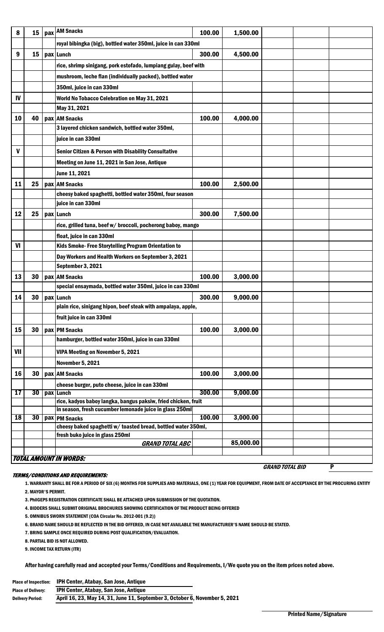| 8   | 15 | pax AM Snacks                                                                                                             | 100.00 | 1,500.00  |                        |   |
|-----|----|---------------------------------------------------------------------------------------------------------------------------|--------|-----------|------------------------|---|
|     |    |                                                                                                                           |        |           |                        |   |
|     |    | royal bibingka (big), bottled water 350ml, juice in can 330ml                                                             |        |           |                        |   |
| 9   | 15 | pax Lunch                                                                                                                 | 300.00 | 4,500.00  |                        |   |
|     |    | rice, shrimp sinigang, pork estofado, lumpiang gulay, beef with                                                           |        |           |                        |   |
|     |    | mushroom, leche flan (individually packed), bottled water                                                                 |        |           |                        |   |
|     |    | 350ml, juice in can 330ml                                                                                                 |        |           |                        |   |
| IV  |    | World No Tobacco Celebration on May 31, 2021                                                                              |        |           |                        |   |
|     |    | May 31, 2021                                                                                                              |        |           |                        |   |
| 10  | 40 | pax AM Snacks                                                                                                             | 100.00 | 4,000.00  |                        |   |
|     |    | 3 layered chicken sandwich, bottled water 350ml,                                                                          |        |           |                        |   |
|     |    | juice in can 330ml                                                                                                        |        |           |                        |   |
| V   |    | <b>Senior Citizen &amp; Person with Disability Consultative</b>                                                           |        |           |                        |   |
|     |    |                                                                                                                           |        |           |                        |   |
|     |    | Meeting on June 11, 2021 in San Jose, Antique                                                                             |        |           |                        |   |
|     |    | June 11, 2021                                                                                                             |        |           |                        |   |
| 11  | 25 | pax AM Snacks                                                                                                             | 100.00 | 2,500.00  |                        |   |
|     |    | cheesy baked spaghetti, bottled water 350ml, four season                                                                  |        |           |                        |   |
|     |    | juice in can 330ml                                                                                                        |        |           |                        |   |
| 12  | 25 | pax Lunch                                                                                                                 | 300.00 | 7,500.00  |                        |   |
|     |    | rice, grilled tuna, beef w/ broccoli, pocherong baboy, mango                                                              |        |           |                        |   |
|     |    | float, juice in can 330ml                                                                                                 |        |           |                        |   |
| VI  |    | Kids Smoke- Free Storytelling Program Orientation to                                                                      |        |           |                        |   |
|     |    | Day Workers and Health Workers on September 3, 2021                                                                       |        |           |                        |   |
|     |    | September 3, 2021                                                                                                         |        |           |                        |   |
| 13  | 30 | pax AM Snacks                                                                                                             | 100.00 | 3,000.00  |                        |   |
|     |    | special ensaymada, bottled water 350ml, juice in can 330ml                                                                |        |           |                        |   |
| 14  | 30 | pax Lunch                                                                                                                 | 300.00 | 9,000.00  |                        |   |
|     |    | plain rice, sinigang hipon, beef steak with ampalaya, apple,                                                              |        |           |                        |   |
|     |    | fruit juice in can 330ml                                                                                                  |        |           |                        |   |
| 15  | 30 | pax PM Snacks                                                                                                             | 100.00 | 3,000.00  |                        |   |
|     |    | hamburger, bottled water 350ml, juice in can 330ml                                                                        |        |           |                        |   |
|     |    |                                                                                                                           |        |           |                        |   |
| VII |    | VIPA Meeting on November 5, 2021                                                                                          |        |           |                        |   |
|     |    | <b>November 5, 2021</b>                                                                                                   |        |           |                        |   |
| 16  | 30 | pax AM Snacks                                                                                                             | 100.00 | 3,000.00  |                        |   |
|     |    | cheese burger, puto cheese, juice in can 330ml                                                                            |        |           |                        |   |
| 17  | 30 | pax Lunch                                                                                                                 | 300.00 | 9,000.00  |                        |   |
|     |    | rice, kadyos baboy langka, bangus paksiw, fried chicken, fruit<br>in season, fresh cucumber lemonade juice in glass 250ml |        |           |                        |   |
| 18  | 30 | pax PM Snacks                                                                                                             | 100.00 | 3,000.00  |                        |   |
|     |    | cheesy baked spaghetti w/ toasted bread, bottled water 350ml,                                                             |        |           |                        |   |
|     |    | fresh buko juice in glass 250ml                                                                                           |        |           |                        |   |
|     |    | <b>GRAND TOTAL ABC</b>                                                                                                    |        | 85,000.00 |                        |   |
|     |    | <b>TOTAL AMOUNT IN WORDS:</b>                                                                                             |        |           |                        |   |
|     |    |                                                                                                                           |        |           | <b>GRAND TOTAL BID</b> | P |

## TERMS/CONDITIONS AND REQUIREMENTS:

1. WARRANTY SHALL BE FOR A PERIOD OF SIX (6) MONTHS FOR SUPPLIES AND MATERIALS, ONE (1) YEAR FOR EQUIPMENT, FROM DATE OF ACCEPTANCE BY THE PROCURING ENTITY 2. MAYOR'S PERMIT.

- 3. PhilGEPS REGISTRATION CERTIFICATE SHALL BE ATTACHED UPON SUBMISSION OF THE QUOTATION.
- 4. BIDDERS SHALL SUBMIT ORIGINAL BROCHURES SHOWING CERTIFICATION OF THE PRODUCT BEING OFFERED
- 5. OMNIBUS SWORN STATEMENT (COA Circular No. 2012-001 (9.2))
- 6. BRAND NAME SHOULD BE REFLECTED IN THE BID OFFERED, IN CASE NOT AVAILABLE THE MANUFACTURER'S NAME SHOULD BE STATED.
- 7. BRING SAMPLE ONCE REQUIRED DURING POST QUALIFICATION/EVALUATION.
- 8. PARTIAL BID IS NOT ALLOWED.
- 9. INCOME TAX RETURN (ITR)

After having carefully read and accepted your Terms/Conditions and Requirements, I/We quote you on the item prices noted above.

| <b>Place of Inspection:</b> | <b>IPH Center, Atabay, San Jose, Antique</b>                                |
|-----------------------------|-----------------------------------------------------------------------------|
| <b>Place of Delivery:</b>   | IPH Center, Atabay, San Jose, Antique                                       |
| <b>Delivery Period:</b>     | April 16, 23, May 14, 31, June 11, September 3, October 6, November 5, 2021 |